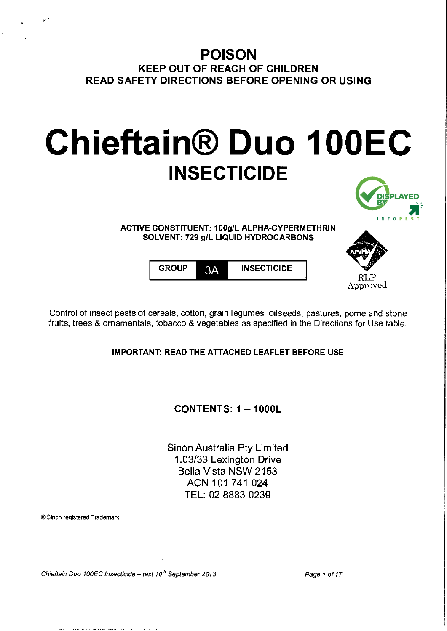# **POISON**  KEEP OUT OF REACH OF CHILDREN READ SAFETY DIRECTIONS BEFORE OPENING OR USING

# **Chieftain® Duo 100EC INSECTICIDE**



ACTIVE CONSTITUENT: 100g/L ALPHA-CYPERMETHRIN SOLVENT: 729 g/L LIQUID HYDROCARBONS



GROUP 3A INSECTICIDE

Control of insect pests of cereals, cotton, grain legumes, oilseeds, pastures, pome and stone fruits, trees & ornamentals, tobacco & vegetables as specified in the Directions for Use table.

IMPORTANT: READ THE ATTACHED LEAFLET BEFORE USE

CONTENTS:1-1000L

Sinon Australia Pty Limited 1.03/33 Lexington Drive Bella Vista NSW 2153 ACN 101 741 024 TEL: 02 8883 0239

®Sinon registered Trademark

Chieftain Duo 100EC Insecticide - text  $10^{th}$  September 2013 Page 1 of 17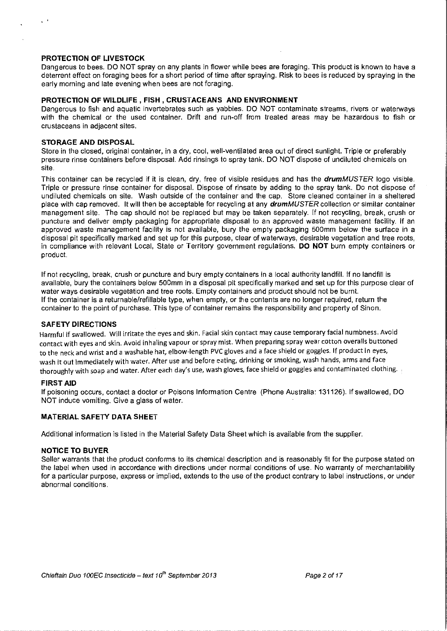# **PROTECTION OF LIVESTOCK**

Dangerous to bees. DO NOT spray on any plants in flower while bees are foraging. This product is known to have a deterrent effect on foraging bees for a short period of time after spraying. Risk to bees is reduced by spraying in the early morning and late evening when bees are not foraging.

#### **PROTECTION OF WILDLIFE , FISH , CRUSTACEANS AND ENVIRONMENT**

Dangerous to fish and aquatic invertebrates such as yabbies. DO NOT contaminate streams, rivers or waterways with the chemical or the used container. Drift and run-off from treated areas may be hazardous to fish or crustaceans in adjacent sites.

# **STORAGE AND DISPOSAL**

Store in the closed, original container, in a dry, cool, well-ventilated area out of direct sunlight. Triple or preferably pressure rinse containers before disposal. Add rinsings to spray tank. DO NOT dispose of undiluted chemicals on site.

This container can be recycled if it is clean, dry, free of visible residues and has the *drumMUSTER* logo visible. Triple or pressure rinse container for disposal. Dispose of rinsate by adding to the spray tank. Do not dispose of undiluted chemicals on site. Wash outside of the container and the cap. Store cleaned container in a sheltered place with cap removed. It will then be acceptable for recycling at any drumMUSTER collection or similar container management site. The cap should not be replaced but may be taken separately. If not recycling, break, crush or puncture and deliver empty packaging for appropriate disposal to an approved waste management facility. If an approved waste management facility is not available, bury the empty packaging 500mm below the surface in a disposal pit specifically marked and set up for this purpose, clear of waterways, desirable vegetation and tree roots, in compliance with relevant Local, State or Territory government regulations. **DO NOT** burn empty containers or product.

If not recycling, break, crush or puncture and bury empty containers in a local authority landfill. If no landfill is available, bury the containers below 500mm in a disposal pit specifically marked and set up for this purpose clear of water ways desirable vegetation and tree roots. Empty containers and product should not be burnt. If the container is a returnable/refillable type, when empty, or the contents are no longer required, return the container to the point of purchase. This type of container remains the responsibility and property of Sinon.

#### **SAFETY DIRECTIONS**

Harmful if swallowed. Will irritate the eyes and skin. Facial skin contact may cause temporary facial numbness. Avoid contact with eyes and skin. Avoid inhaling vapour or spray mist. When preparing spray wear cotton overalls buttoned to the neck and wrist and a washable hat, elbow-length PVC gloves and a face shield or goggles. If product in eyes, wash it out immediately with water. After use and before eating, drinking or smoking, wash hands, arms and face thoroughly with soap and water. After each day's use, wash gloves, face shield or goggles and contaminated clothing.

#### **FIRST AID**

If poisoning occurs, contact a doctor or Poisons Information Centre (Phone Australia: 131126). If swallowed, DO NOT induce vomiting. Give a glass of water.

# **MATERIAL SAFETY DATA SHEET**

Additional information is listed in the Material Safety Data Sheet which is available from the supplier.

#### **NOTICE TO BUYER**

Seller warrants that the product conforms to its chemical description and is reasonably fit for the purpose stated on the label when used in accordance with directions under normal conditions of use. No warranty of merchantability for a particular purpose, express or implied, extends to the use of the product contrary to label instructions, or under abnormal conditions.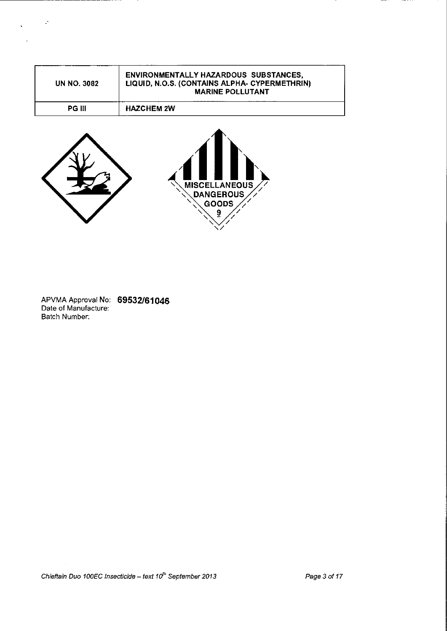| UN NO. 3082   | <b>ENVIRONMENTALLY HAZARDOUS SUBSTANCES,</b><br>LIQUID, N.O.S. (CONTAINS ALPHA- CYPERMETHRIN)<br><b>MARINE POLLUTANT</b> |
|---------------|--------------------------------------------------------------------------------------------------------------------------|
| <b>PG III</b> | <b>HAZCHEM 2W</b>                                                                                                        |



---------------------

 $\sim$   $\sim$ 



APVMA Approval No: 69532/61046 Date of Manufacture: Batch Number:

Chieftain Duo 100EC Insecticide -- text  $10^{th}$  September 2013 Page 3 of 17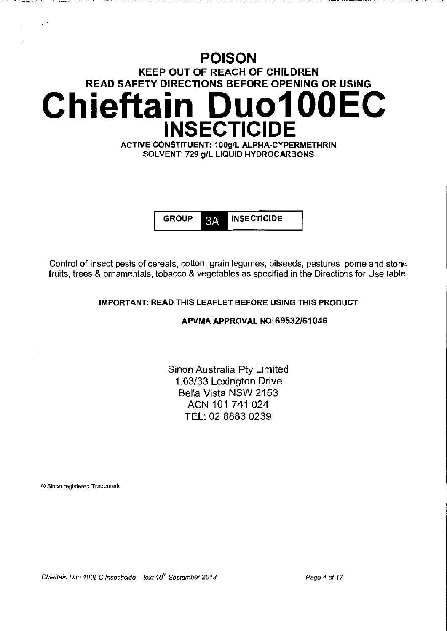# **POISON**  KEEP OUT OF REACH OF CHILDREN READ SAFETY DIRECTIONS BEFORE OPENING OR USING **Chieftain Duo1 OOEC INSECTICIDE**  ACTIVE CONSTITUENT: 100g/L ALPHA-CYPERMETHRIN

SOLVENT: 729 g/L LIQUID HYDROCARBONS

GROUP 3A INSECTICIDE

Control of insect pests of cereals, cotton, grain legumes, oilseeds, pastures, pome and stone fruits, trees & ornamentals, tobacco & vegetables as specified in the Directions for Use table.

# IMPORTANT: READ THIS LEAFLET BEFORE USING THIS PRODUCT

APVMAAPPROVAL N0:69532/61046

Sinon Australia Pty Limited 1.03/33 Lexington Drive Bella Vista NSW 2153 ACN 101 741 024 TEL: 02 8883 0239

®Sinon registered Trademark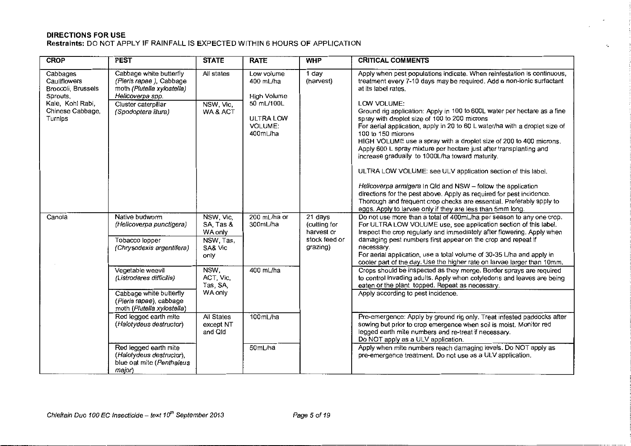# **DIRECTIONS FOR USE Restraints:** DO NOT APPLY IF RAINFALL IS EXPECTED WITHIN 6 HOURS OF APPLICATION

| <b>CROP</b>                                                | <b>PEST</b>                                                                                          | <b>STATE</b>                       | <b>RATE</b>                                           | <b>WHP</b>                            | <b>CRITICAL COMMENTS</b>                                                                                                                                                                                                                                                                                                                                                                                                                                                                                                                                                                                                                                                                                                                                                                   |
|------------------------------------------------------------|------------------------------------------------------------------------------------------------------|------------------------------------|-------------------------------------------------------|---------------------------------------|--------------------------------------------------------------------------------------------------------------------------------------------------------------------------------------------------------------------------------------------------------------------------------------------------------------------------------------------------------------------------------------------------------------------------------------------------------------------------------------------------------------------------------------------------------------------------------------------------------------------------------------------------------------------------------------------------------------------------------------------------------------------------------------------|
| Cabbages<br>Cauliflowers<br>Broccoli, Brussels<br>Sprouts, | Cabbage white butterfly<br>(Pieris rapae), Cabbage<br>moth (Plutella xylostella)<br>Helicoverpa spp. | All states                         | Low volume<br>400 mL/ha<br>High Volume                | 1 day<br>(harvest)                    | Apply when pest populations indicate. When reinfestation is continuous,<br>treatment every 7-10 days may be required. Add a non-ionic surfactant<br>at its label rates.                                                                                                                                                                                                                                                                                                                                                                                                                                                                                                                                                                                                                    |
| Kale, Kohl Rabi,<br>Chinese Cabbage,<br>Turnips            | Cluster caterpillar<br>(Spodoptera litura)                                                           | NSW, Vic,<br>WA & ACT              | 50 mL/100L<br>ULTRA LOW<br><b>VOLUME:</b><br>400mL/ha |                                       | LOW VOLUME:<br>Ground rig application: Apply in 100 to 600L water per hectare as a fine<br>spray with droplet size of 100 to 200 microns<br>For aerial application, apply in 20 to 60 L water/ha with a droplet size of<br>100 to 150 microns<br>HIGH VOLUME use a spray with a droplet size of 200 to 400 microns.<br>Apply 600 L spray mixture per hectare just after transplanting and<br>increase gradually to 1000L/ha toward maturity.<br>ULTRA LOW VOLUME: see ULV application section of this label.<br>Helicoverpa armigera In Qld and NSW - follow the application<br>directions for the pest above. Apply as required for pest incidence.<br>Thorough and frequent crop checks are essential. Preferably apply to<br>eggs. Apply to larvae only if they are less than 5mm long. |
| Canola                                                     | Native budworm<br>(Helicoverpa punctigera)                                                           | NSW, Vic,<br>SA Tas &<br>WA only   | 200 mL/ha or<br>300mL/ha                              | 21 days<br>(cutting for<br>harvest or | Do not use more than a total of 400mL/ha per season to any one crop.<br>For ULTRA LOW VOLUME use, see application section of this label.<br>Inspect the crop regularly and immediately after flowering. Apply when                                                                                                                                                                                                                                                                                                                                                                                                                                                                                                                                                                         |
|                                                            | Tobacco lopper<br>(Chrysodexis argentifera)                                                          | NSW, Tas,<br>SA& Vic<br>only       |                                                       | stock feed or<br>grazing)             | damaging pest numbers first appear on the crop and repeat if<br>necessary.<br>For aerial application, use a total volume of 30-35 L/ha and apply in<br>cooler part of the day. Use the higher rate on larvae larger than 10mm.                                                                                                                                                                                                                                                                                                                                                                                                                                                                                                                                                             |
|                                                            | Vegetable weevil<br>(Listroderes difficilis)                                                         | NSW,<br>ACT, Vic,<br>Tas, SA,      | 400 mL/ha                                             |                                       | Crops should be inspected as they merge. Border sprays are required<br>to control invading adults. Apply when cotyledons and leaves are being<br>eaten or the plant topped. Repeat as necessary.                                                                                                                                                                                                                                                                                                                                                                                                                                                                                                                                                                                           |
|                                                            | Cabbage white butterfly<br>(Pieris rapae), cabbage<br>moth (Plutella xylostella)                     | WA only                            |                                                       |                                       | Apply according to pest incidence.                                                                                                                                                                                                                                                                                                                                                                                                                                                                                                                                                                                                                                                                                                                                                         |
|                                                            | Red legged earth mite<br>(Halotydeus destructor)                                                     | All States<br>except NT<br>and Qld | 100mL/ha                                              |                                       | Pre-emergence: Apply by ground rig only. Treat infested paddocks after<br>sowing but prior to crop emergence when soil is moist. Monitor red<br>legged earth mite numbers and re-treat if necessary.<br>Do NOT apply as a ULV application.                                                                                                                                                                                                                                                                                                                                                                                                                                                                                                                                                 |
|                                                            | Red legged earth mite<br>(Halotydeus destructor),<br>blue oat mite (Penthaleus<br>major)             |                                    | 50mL/ha                                               |                                       | Apply when mite numbers reach damaging levels. Do NOT apply as<br>pre-emergence treatment. Do not use as a ULV application.                                                                                                                                                                                                                                                                                                                                                                                                                                                                                                                                                                                                                                                                |

÷.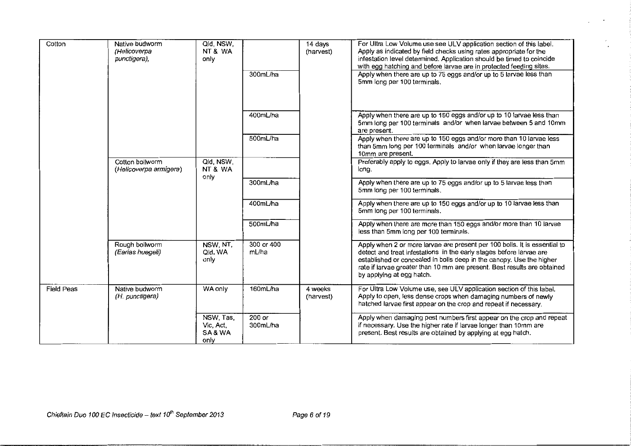| Cotton            | Qid, NSW,<br>Native budworm<br>NT&WA<br>(Helicoverpa<br>only<br>punctigera),<br>300mL/ha |                                         | 14 days<br>(harvest) | For Ultra Low Volume use see ULV application section of this label.<br>Apply as indicated by field checks using rates appropriate for the<br>infestation level determined. Application should be timed to coincide<br>with egg hatching and before larvae are in protected feeding sites.<br>Apply when there are up to 75 eggs and/or up to 5 larvae less than<br>5mm long per 100 terminals. |                                                                                                                                                                                                                                                                                                                                   |
|-------------------|------------------------------------------------------------------------------------------|-----------------------------------------|----------------------|------------------------------------------------------------------------------------------------------------------------------------------------------------------------------------------------------------------------------------------------------------------------------------------------------------------------------------------------------------------------------------------------|-----------------------------------------------------------------------------------------------------------------------------------------------------------------------------------------------------------------------------------------------------------------------------------------------------------------------------------|
|                   |                                                                                          |                                         | 400mL/ha             |                                                                                                                                                                                                                                                                                                                                                                                                | Apply when there are up to 150 eggs and/or up to 10 larvae less than<br>5mm long per 100 terminals and/or when larvae between 5 and 10mm<br>are present.                                                                                                                                                                          |
|                   |                                                                                          |                                         | 500mL/ha             |                                                                                                                                                                                                                                                                                                                                                                                                | Apply when there are up to 150 eggs and/or more than 10 larvae less<br>than 5mm long per 100 terminals and/or when larvae longer than<br>10mm are present.                                                                                                                                                                        |
|                   | Cotton bollworm<br>(Helicoverpa armigera)                                                | Qld, NSW.<br>NT&WA<br>only              |                      |                                                                                                                                                                                                                                                                                                                                                                                                | Preferably apply to eggs. Apply to larvae only if they are less than 5mm<br>long.                                                                                                                                                                                                                                                 |
|                   |                                                                                          |                                         | 300mL/ha             |                                                                                                                                                                                                                                                                                                                                                                                                | Apply when there are up to 75 eggs and/or up to 5 larvae less than<br>5mm long per 100 terminals.                                                                                                                                                                                                                                 |
|                   |                                                                                          |                                         | 400mL/ha             |                                                                                                                                                                                                                                                                                                                                                                                                | Apply when there are up to 150 eggs and/or up to 10 larvae less than<br>5mm long per 100 terminals.                                                                                                                                                                                                                               |
|                   |                                                                                          |                                         | 500mL/ha             |                                                                                                                                                                                                                                                                                                                                                                                                | Apply when there are more than 150 eggs and/or more than 10 larvae<br>less than 5mm long per 100 terminals.                                                                                                                                                                                                                       |
|                   | Rough bollworm<br>(Earias huegeli)                                                       | NSW, NT,<br>Qld, WA<br>only             | 300 or 400<br>mL/ha  |                                                                                                                                                                                                                                                                                                                                                                                                | Apply when 2 or more larvae are present per 100 bolls. It is essential to<br>detect and treat infestations in the early stages before larvae are<br>established or concealed in bolls deep in the canopy. Use the higher<br>rate if larvae greater than 10 mm are present. Best results are obtained<br>by applying at egg hatch. |
| <b>Field Peas</b> | Native budworm<br>(H. punctigera)                                                        | WA only                                 | 160mL/ha             | 4 weeks<br>(harvest)                                                                                                                                                                                                                                                                                                                                                                           | For Ultra Low Volume use, see ULV application section of this label.<br>Apply to open, less dense crops when damaging numbers of newly<br>hatched larvae first appear on the crop and repeat if necessary.                                                                                                                        |
|                   |                                                                                          | NSW, Tas,<br>Vic, Act,<br>SA&WA<br>only | $200$ or<br>300mL/ha |                                                                                                                                                                                                                                                                                                                                                                                                | Apply when damaging pest numbers first appear on the crop and repeat<br>if necessary. Use the higher rate if larvae longer than 10mm are<br>present. Best results are obtained by applying at egg hatch.                                                                                                                          |

 $\ddot{\phantom{0}}$ 

 $\epsilon$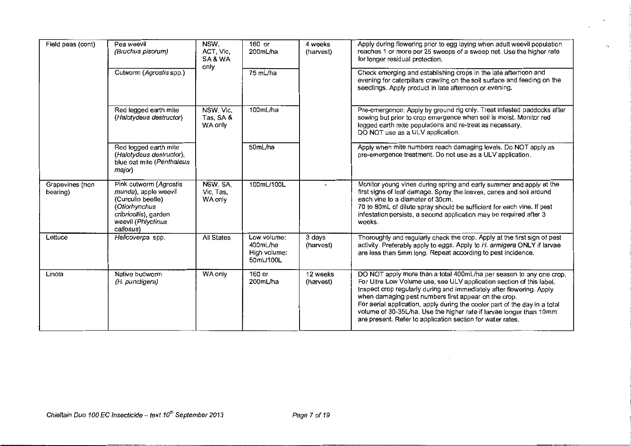| Field peas (cont)           | Pea weevil<br>(Bruchus pisorum)                                                                                                                  | NSW.<br>ACT, Vic.<br>SA&WA<br>only | $160$ or<br>200mL/ha                                 | 4 weeks<br>(harvest)  | Apply during flowering prior to egg laying when adult weevil population<br>reaches 1 or more per 25 sweeps of a sweep net. Use the higher rate<br>for longer residual protection.                                                                                                                                                                                                                                                                                                              |
|-----------------------------|--------------------------------------------------------------------------------------------------------------------------------------------------|------------------------------------|------------------------------------------------------|-----------------------|------------------------------------------------------------------------------------------------------------------------------------------------------------------------------------------------------------------------------------------------------------------------------------------------------------------------------------------------------------------------------------------------------------------------------------------------------------------------------------------------|
|                             | Cutworm (Agrostis spp.)                                                                                                                          |                                    | 75 mL/ha                                             |                       | Check emerging and establishing crops in the late afternoon and<br>evening for caterpillars crawling on the soil surface and feeding on the<br>seedlings. Apply product in late afternoon or evening.                                                                                                                                                                                                                                                                                          |
|                             | Red legged earth mite<br>(Halotydeus destructor)                                                                                                 | NSW, Vic,<br>Tas, SA &<br>WA only  | 100mL/ha                                             |                       | Pre-emergence: Apply by ground rig only. Treat infested paddocks after<br>sowing but prior to crop emergence when soil is moist. Monitor red<br>legged earth mite populations and re-treat as necessary.<br>DO NOT use as a ULV application.                                                                                                                                                                                                                                                   |
|                             | Red legged earth mite<br>(Halotydeus destructor),<br>blue oat mite (Penthaleus<br>major)                                                         |                                    | 50mL/ha                                              |                       | Apply when mite numbers reach damaging levels. Do NOT apply as<br>pre-emergence treatment. Do not use as a ULV application.                                                                                                                                                                                                                                                                                                                                                                    |
| Grapevines (non<br>bearing) | Pink cutworm (Agrostis<br>munda), apple weevil<br>(Curculio beetle)<br>(Otiorhynchus<br>cribricollis), garden<br>weevil (Phlyctinus<br>callosus) | NSW, SA,<br>Vic. Tas.<br>WA only   | 100mL/100L                                           |                       | Monitor young vines during spring and early summer and apply at the<br>first signs of leaf damage. Spray the leaves, canes and soil around<br>each vine to a diameter of 30cm.<br>70 to 80mL of dilute spray should be sufficient for each vine. If pest<br>infestation persists, a second application may be required after 3<br>weeks.                                                                                                                                                       |
| Lettuce                     | Helicoverpa spp.                                                                                                                                 | All States                         | Low volume:<br>400mL/ha<br>High volume:<br>50mL/100L | 3 days<br>(harvest)   | Thoroughly and regularly check the crop. Apply at the first sign of pest<br>activity. Preferably apply to eggs. Apply to H. armigera ONLY if larvae<br>are less than 5mm long. Repeat according to pest incidence.                                                                                                                                                                                                                                                                             |
| Linola                      | Native budworm<br>(H. punctigera)                                                                                                                | WA only                            | 160 or<br>200mL/ha                                   | 12 weeks<br>(harvest) | DO NOT apply more than a total 400mL/ha per season to any one crop.<br>For Ultra Low Volume use, see ULV application section of this label.<br>Inspect crop regularly during and immediately after flowering. Apply<br>when damaging pest numbers first appear on the crop.<br>For aerial application, apply during the cooler part of the day in a total<br>volume of 30-35L/ha. Use the higher rate if larvae longer than 10mm<br>are present. Refer to application section for water rates. |

 $\epsilon_{\rm p}$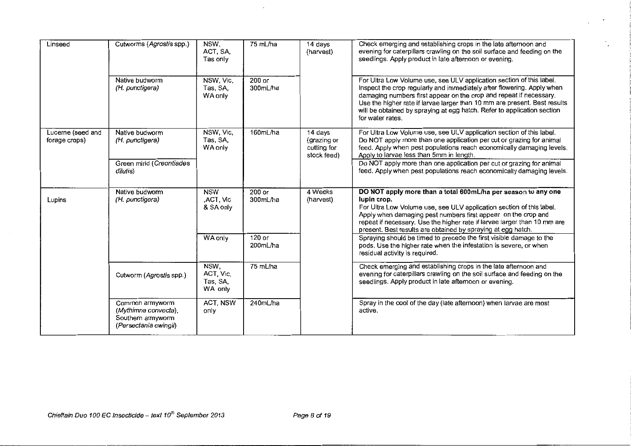| Linseed                            | Cutworms (Agrostis spp.)                                                              | NSW.<br>ACT, SA,<br>Tas only             | 75 mL/ha             | 14 days<br>(harvest)                                 | Check emerging and establishing crops in the late afternoon and<br>evening for caterpillars crawling on the soil surface and feeding on the<br>seedlings. Apply product in late afternoon or evening.                                                                                                                                                                                            |  |
|------------------------------------|---------------------------------------------------------------------------------------|------------------------------------------|----------------------|------------------------------------------------------|--------------------------------------------------------------------------------------------------------------------------------------------------------------------------------------------------------------------------------------------------------------------------------------------------------------------------------------------------------------------------------------------------|--|
|                                    | Native budworm<br>(H. punctigera)                                                     | NSW, Vic,<br>Tas, SA,<br>WA only         | $200$ or<br>300mL/ha |                                                      | For Ultra Low Volume use, see ULV application section of this label.<br>Inspect the crop regularly and immediately after flowering. Apply when<br>damaging numbers first appear on the crop and repeat if necessary.<br>Use the higher rate if larvae larger than 10 mm are present. Best results<br>will be obtained by spraying at egg hatch. Refer to application section<br>for water rates. |  |
| Lucerne (seed and<br>forage crops) | Native budworm<br>(H. punctigera)                                                     | NSW, Vic,<br>Tas, SA,<br><b>WA only</b>  | 160mL/ha             | 14 days<br>(grazing or<br>cutting for<br>stock feed) | For Ultra Low Volume use, see ULV application section of this label.<br>Do NOT apply more than one application per cut or grazing for animal<br>feed. Apply when pest populations reach economically damaging levels.<br>Apply to larvae less than 5mm in length.                                                                                                                                |  |
|                                    | Green mirid (Creontiades<br>dilutis)                                                  |                                          |                      |                                                      | Do NOT apply more than one application per cut or grazing for animal<br>feed. Apply when pest populations reach economically damaging levels.                                                                                                                                                                                                                                                    |  |
| Lupins                             | Native budworm<br>(H. punctigera)                                                     | <b>NSW</b><br>,ACT, Vic<br>& SA only     | 200 or<br>300mL/ha   | 4 Weeks<br>(harvest)                                 | DO NOT apply more than a total 600mL/ha per season to any one<br>lupin crop.<br>For Ultra Low Volume use, see ULV application section of this label.<br>Apply when damaging pest numbers first appear on the crop and<br>repeat if necessary. Use the higher rate if larvae larger than 10 mm are<br>present. Best results are obtained by spraying at egg hatch.                                |  |
|                                    |                                                                                       | WA only                                  | $120$ or<br>200mL/ha |                                                      | Spraying should be timed to precede the first visible damage to the<br>pods. Use the higher rate when the infestation is severe, or when<br>residual activity is required.                                                                                                                                                                                                                       |  |
|                                    | Cutworm (Agrostis spp.)                                                               | NSW,<br>ACT, Vic,<br>Tas, SA,<br>WA only | 75 mL/ha             |                                                      | Check emerging and establishing crops in the late afternoon and<br>evening for caterpillars crawling on the soil surface and feeding on the<br>seedlings. Apply product in late afternoon or evening.                                                                                                                                                                                            |  |
|                                    | Common armyworm<br>(Mythimna convecta),<br>Southern armyworm<br>(Persectania ewingii) | ACT, NSW<br>only                         | 240mL/ha             |                                                      | Spray in the cool of the day (late afternoon) when larvae are most<br>active.                                                                                                                                                                                                                                                                                                                    |  |

 $\bullet$ 

k,  $\cdot$ 

 $\mathcal{A}^{\mathcal{A}}$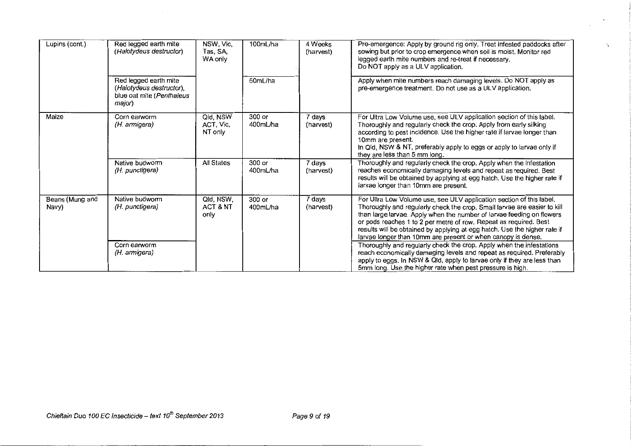| Lupins (cont.)           | Red legged earth mite<br>(Halotydeus destructor)                                         | NSW, Vic,<br>Tas, SA,<br>WA only | 100mL/ha           | 4 Weeks<br>(harvest) | Pre-emergence: Apply by ground rig only. Treat infested paddocks after<br>sowing but prior to crop emergence when soil is moist. Monitor red<br>legged earth mite numbers and re-treat if necessary.<br>Do NOT apply as a ULV application.                                                                                                                                                                                                  |
|--------------------------|------------------------------------------------------------------------------------------|----------------------------------|--------------------|----------------------|---------------------------------------------------------------------------------------------------------------------------------------------------------------------------------------------------------------------------------------------------------------------------------------------------------------------------------------------------------------------------------------------------------------------------------------------|
|                          | Red legged earth mite<br>(Halotydeus destructor),<br>blue oat mite (Penthaleus<br>major) |                                  | 50mL/ha            |                      | Apply when mite numbers reach damaging levels. Do NOT apply as<br>pre-emergence treatment. Do not use as a ULV application.                                                                                                                                                                                                                                                                                                                 |
| Maize                    | Corn earworm<br>(H. armigera)                                                            | Qld, NSW<br>ACT, Vic,<br>NT only | 300 or<br>400mL/ha | 7 days<br>(harvest)  | For Ultra Low Volume use, see ULV application section of this label.<br>Thoroughly and regularly check the crop. Apply from early silking<br>according to pest incidence. Use the higher rate if larvae longer than<br>10mm are present.<br>In Qld, NSW & NT, preferably apply to eggs or apply to larvae only if<br>they are less than 5 mm long.                                                                                          |
|                          | Native budworm<br>(H. punctigera)                                                        | All States                       | 300 or<br>400mL/ha | 7 days<br>(harvest)  | Thoroughly and regularly check the crop. Apply when the infestation<br>reaches economically damaging levels and repeat as required. Best<br>results will be obtained by applying at egg hatch. Use the higher rate if<br>larvae longer than 10mm are present.                                                                                                                                                                               |
| Beans (Mung and<br>Navy) | Native budworm<br>(H. punctigera)                                                        | Qld, NSW,<br>ACT & NT<br>only    | 300 or<br>400mL/ha | 7 days<br>(harvest)  | For Ultra Low Volume use, see ULV application section of this label.<br>Thoroughly and regularly check the crop. Small larvae are easier to kill<br>than large larvae. Apply when the number of larvae feeding on flowers<br>or pods reaches 1 to 2 per metre of row. Repeat as required. Best<br>results will be obtained by applying at egg hatch. Use the higher rate if<br>larvae longer than 10mm are present or when canopy is dense. |
|                          | Corn earworm<br>(H. armigera)                                                            |                                  |                    |                      | Thoroughly and regularly check the crop. Apply when the infestations<br>reach economically damaging levels and repeat as required. Preferably<br>apply to eggs. In NSW & Qid, apply to larvae only if they are less than<br>5mm long. Use the higher rate when pest pressure is high.                                                                                                                                                       |

 $\ddot{\phantom{a}}$  .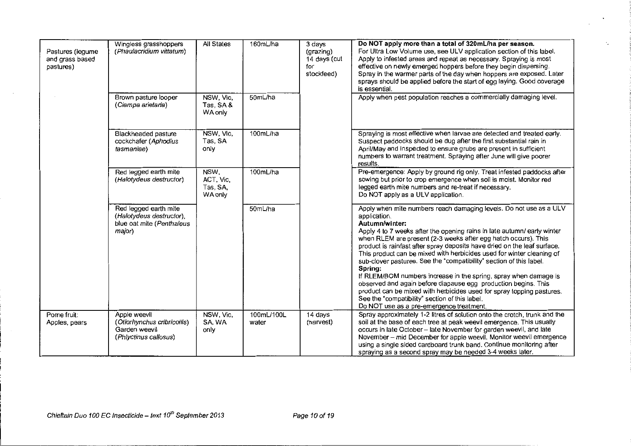| Pastures (legume<br>and grass based<br>pastures) | Wingless grasshoppers<br>(Phaulacridium vittatum)                                        | All States                               | 160mL/ha            | 3 days<br>(grazing)<br>14 days (cut<br>for<br>stockfeed) | Do NOT apply more than a total of 320mL/ha per season.<br>For Ultra Low Volume use, see ULV application section of this label.<br>Apply to infested areas and repeat as necessary. Spraying is most<br>effective on newly emerged hoppers before they begin dispersing.<br>Spray in the warmer parts of the day when hoppers are exposed. Later<br>sprays should be applied before the start of egg laying. Good coverage<br>is essential.                                                                                                                                                                                                                                                                                                                                                           |
|--------------------------------------------------|------------------------------------------------------------------------------------------|------------------------------------------|---------------------|----------------------------------------------------------|------------------------------------------------------------------------------------------------------------------------------------------------------------------------------------------------------------------------------------------------------------------------------------------------------------------------------------------------------------------------------------------------------------------------------------------------------------------------------------------------------------------------------------------------------------------------------------------------------------------------------------------------------------------------------------------------------------------------------------------------------------------------------------------------------|
|                                                  | Brown pasture looper<br>(Ciampa arietaria)                                               | NSW, Vic,<br>Tas, SA &<br>WA only        | 50mL/ha             |                                                          | Apply when pest population reaches a commercially damaging level.                                                                                                                                                                                                                                                                                                                                                                                                                                                                                                                                                                                                                                                                                                                                    |
|                                                  | Blackheaded pasture<br>cockchafer (Aphodius<br>tasmaniae)                                | NSW, Vic,<br>Tas, SA<br>only             | 100mL/ha            |                                                          | Spraying is most effective when larvae are detected and treated early.<br>Suspect paddocks should be dug after the first substantial rain in<br>April/May and inspected to ensure grubs are present in sufficient<br>numbers to warrant treatment. Spraying after June will give poorer<br>results.                                                                                                                                                                                                                                                                                                                                                                                                                                                                                                  |
|                                                  | Red legged earth mite<br>(Halotydeus destructor)                                         | NSW,<br>ACT, Vic,<br>Tas, SA,<br>WA only | 100mL/ha            |                                                          | Pre-emergence: Apply by ground rig only. Treat infested paddocks after<br>sowing but prior to crop emergence when soil is moist. Monitor red<br>legged earth mite numbers and re-treat if necessary.<br>Do NOT apply as a ULV application.                                                                                                                                                                                                                                                                                                                                                                                                                                                                                                                                                           |
|                                                  | Red legged earth mite<br>(Halotydeus destructor),<br>blue oat mite (Penthalous<br>major) |                                          | 50mL/ha             |                                                          | Apply when mite numbers reach damaging levels. Do not use as a ULV<br>application.<br>Autumn/winter:<br>Apply 4 to 7 weeks after the opening rains in late autumn/early winter<br>when RLEM are present (2-3 weeks after egg hatch occurs). This<br>product is rainfast after spray deposits have dried on the leaf surface.<br>This product can be mixed with herbicides used for winter cleaning of<br>sub-clover pastures. See the "compatibility" section of this label.<br>Spring:<br>If RLEM/BOM numbers increase in the spring, spray when damage is<br>observed and again before diapause egg production begins. This<br>product can be mixed with herbicides used for spray topping pastures.<br>See the "compatibility" section of this label.<br>Do NOT use as a pre-emergence treatment. |
| Pome fruit:<br>Apples, pears                     | Apple weevil<br>(Otiorhynchus cribricollis)<br>Garden weevil<br>(Phlyctinus callosus)    | NSW, Vic,<br>SA, WA<br>only              | 100mL/100L<br>water | 14 days<br>(harvest)                                     | Spray approximately 1-2 litres of solution onto the crotch, trunk and the<br>soil at the base of each tree at peak weevil emergence. This usually<br>occurs in late October - late November for garden weevil, and late<br>November - mid December for apple weevil. Monitor weevil emergence<br>using a single sided cardboard trunk band. Continue monitoring after<br>spraying as a second spray may be needed 3-4 weeks later.                                                                                                                                                                                                                                                                                                                                                                   |

г.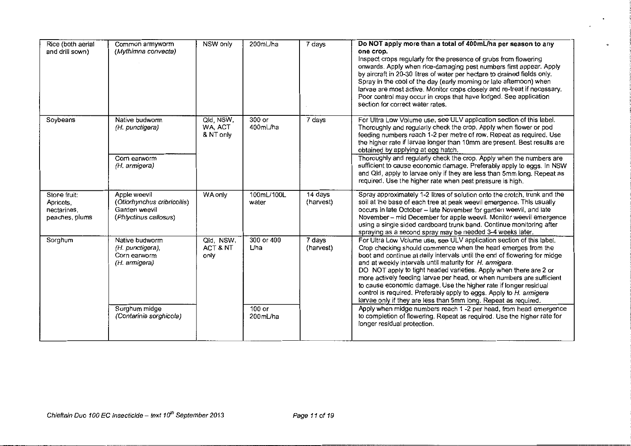| Rice (both aerial<br>and drill sown)                       | Common armyworm<br>(Mythimna convecta)                                                | NSW only                          | 200mL/ha              | 7 days                 | Do NOT apply more than a total of 400mL/ha per season to any<br>one crop.<br>Inspect crops regularly for the presence of grubs from flowering<br>onwards. Apply when rice-damaging pest numbers first appear. Apply<br>by aircraft in 20-30 litres of water per hectare to drained fields only.<br>Spray in the cool of the day (early morning or late afternoon) when<br>larvae are most active. Monitor crops closely and re-treat if necessary.<br>Poor control may occur in crops that have lodged. See application<br>section for correct water rates.                                                                              |
|------------------------------------------------------------|---------------------------------------------------------------------------------------|-----------------------------------|-----------------------|------------------------|------------------------------------------------------------------------------------------------------------------------------------------------------------------------------------------------------------------------------------------------------------------------------------------------------------------------------------------------------------------------------------------------------------------------------------------------------------------------------------------------------------------------------------------------------------------------------------------------------------------------------------------|
| Soybeans                                                   | Native budworm<br>(H. punctigera)<br>Corn earworm<br>(H. armigera)                    | Qld, NSW,<br>WA, ACT<br>& NT only | 300 or<br>400mL/ha    | 7 days                 | For Ultra Low Volume use, see ULV application section of this label.<br>Thoroughly and regularly check the crop. Apply when flower or pod<br>feeding numbers reach 1-2 per metre of row. Repeat as required. Use<br>the higher rate if larvae longer than 10mm are present. Best results are<br>obtained by applying at egg hatch.<br>Thoroughly and regularly check the crop. Apply when the numbers are<br>sufficient to cause economic damage. Preferably apply to eggs. In NSW<br>and Qld, apply to larvae only if they are less than 5mm long. Repeat as                                                                            |
|                                                            |                                                                                       |                                   |                       |                        | required. Use the higher rate when pest pressure is high.                                                                                                                                                                                                                                                                                                                                                                                                                                                                                                                                                                                |
| Stone fruit:<br>Apricots,<br>nectarines,<br>peaches, plums | Apple weevil<br>(Otiorhynchus cribricollis)<br>Garden weevil<br>(Phiyctinus callosus) | WA only                           | 100mL/100L<br>water   | $14$ days<br>(harvest) | Spray approximately 1-2 litres of solution onto the crotch, trunk and the<br>soil at the base of each tree at peak weevil emergence. This usually<br>occurs in late October - late November for garden weevil, and late<br>November - mid December for apple weevil. Monitor weevil emergence<br>using a single sided cardboard trunk band. Continue monitoring after<br>spraying as a second spray may be needed 3-4 weeks later.                                                                                                                                                                                                       |
| Sorghum                                                    | Native budworm<br>(H. punctigera),<br>Corn earworm<br>(H. armigera)                   | Qld, NSW,<br>ACT & NT<br>only     | 300 or 400<br>$L$ /ha | 7 days<br>(harvest)    | For Ultra Low Volume use, see ULV application section of this label.<br>Crop checking should commence when the head emerges from the<br>boot and continue at daily intervals until the end of flowering for midge<br>and at weekly intervals until maturity for H. armigera.<br>DO NOT apply to tight headed varieties. Apply when there are 2 or<br>more actively feeding larvae per head, or when numbers are sufficient<br>to cause economic damage. Use the higher rate if longer residual<br>control is required. Preferably apply to eggs. Apply to H. armigera<br>larvae only if they are less than 5mm long. Repeat as required. |
|                                                            | Sorghum midge<br>(Contarinia sorghicola)                                              |                                   | $100$ or<br>200mL/ha  |                        | Apply when midge numbers reach 1 -2 per head, from head emergence<br>to completion of flowering. Repeat as required. Use the higher rate for<br>longer residual protection.                                                                                                                                                                                                                                                                                                                                                                                                                                                              |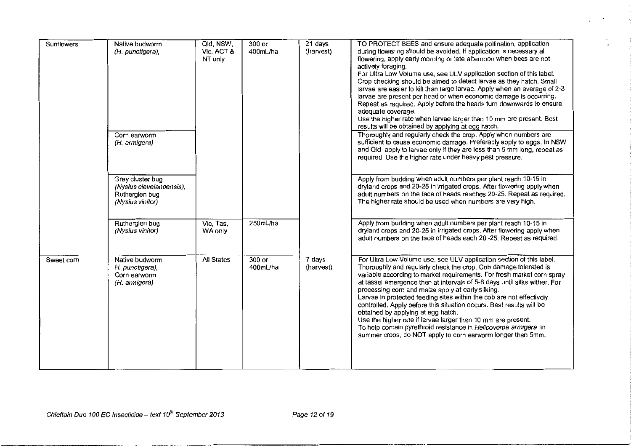| <b>Sunflowers</b> | Native budworm<br>(H. punctigera),                                                 | Qld, NSW,<br>Vic, ACT &<br>NT only | 300 or<br>400mL/ha | 21 days<br>(harvest) | TO PROTECT BEES and ensure adequate pollination, application<br>during flowering should be avoided. If application is necessary at<br>flowering, apply early morning or late afternoon when bees are not<br>actively foraging.<br>For Ultra Low Volume use, see ULV application section of this label.<br>Crop checking should be aimed to detect larvae as they hatch. Small<br>larvae are easier to kill than large larvae. Apply when an average of 2-3<br>larvae are present per head or when economic damage is occurring.<br>Repeat as required. Apply before the heads turn downwards to ensure<br>adequate coverage.<br>Use the higher rate when larvae larger than 10 mm are present. Best<br>results will be obtained by applying at egg hatch. |
|-------------------|------------------------------------------------------------------------------------|------------------------------------|--------------------|----------------------|-----------------------------------------------------------------------------------------------------------------------------------------------------------------------------------------------------------------------------------------------------------------------------------------------------------------------------------------------------------------------------------------------------------------------------------------------------------------------------------------------------------------------------------------------------------------------------------------------------------------------------------------------------------------------------------------------------------------------------------------------------------|
|                   | Corn earworm<br>(H. armigera)                                                      |                                    |                    |                      | Thoroughly and regularly check the crop. Apply when numbers are<br>sufficient to cause economic damage. Preferably apply to eggs. In NSW<br>and Qld apply to larvae only if they are less than 5 mm long, repeat as<br>required. Use the higher rate under heavy pest pressure.                                                                                                                                                                                                                                                                                                                                                                                                                                                                           |
|                   | Grey cluster bug<br>(Nysius clevelandensis),<br>Rutherglen bug<br>(Nysius vinitor) |                                    |                    |                      | Apply from budding when adult numbers per plant reach 10-15 in<br>dryland crops and 20-25 in irrigated crops. After flowering apply when<br>adult numbers on the face of heads reaches 20-25. Repeat as required.<br>The higher rate should be used when numbers are very high.                                                                                                                                                                                                                                                                                                                                                                                                                                                                           |
|                   | Rutherglen bug<br>(Nysius vinitor)                                                 | Vic, Tas,<br>WA only               | 250mL/ha           |                      | Apply from budding when adult numbers per plant reach 10-15 in<br>dryland crops and 20-25 in irrigated crops. After flowering apply when<br>adult numbers on the face of heads each 20-25. Repeat as required.                                                                                                                                                                                                                                                                                                                                                                                                                                                                                                                                            |
| Sweet corn        | Native budworm<br>H. punctigera),<br>Corn earworm<br>(H. armigera)                 | <b>All States</b>                  | 300 or<br>400mL/ha | 7 days<br>(harvest)  | For Ultra Low Volume use, see ULV application section of this label.<br>Thoroughly and regularly check the crop. Cob damage tolerated is<br>variable according to market requirements. For fresh market corn spray<br>at tassel emergence then at intervals of 5-8 days until silks wither. For<br>processing corn and maize apply at early silking.<br>Larvae in protected feeding sites within the cob are not effectively<br>controlled. Apply before this situation occurs. Best results will be<br>obtained by applying at egg hatch.<br>Use the higher rate if larvae larger than 10 mm are present.<br>To help contain pyrethroid resistance in Helicoverpa armigera in<br>summer crops, do NOT apply to corn earworm longer than 5mm.             |

 $\sim$ 

 $\epsilon$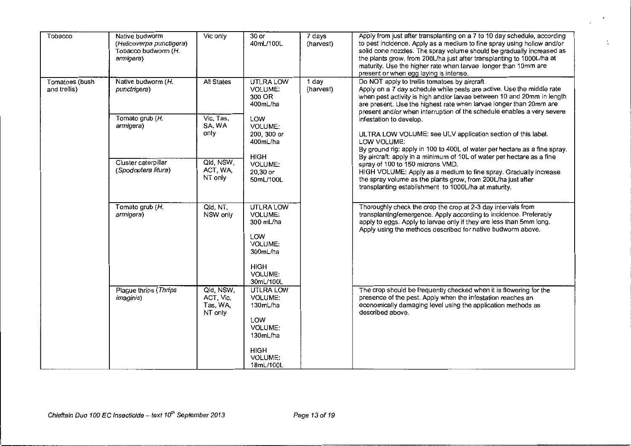| Tobacco                        | Native budworm<br>(Helicoverpa punctigera)<br>Tobacco budworm (H.<br>armigera)                                                                                                                                                                                                                                                                           | Vic only                                      | $30$ or<br>40mL/100L                                                                                                                                                                                                                                                                                                                                                                                                                        | 7 days<br>(harvest) | Apply from just after transplanting on a 7 to 10 day schedule, according<br>to pest incidence. Apply as a medium to fine spray using hollow and/or<br>solid cone nozzles. The spray volume should be gradually increased as<br>the plants grow, from 200L/ha just after transplanting to 1000L/ha at<br>maturity. Use the higher rate when larvae longer than 10mm are<br>present or when egg laying is intense. |
|--------------------------------|----------------------------------------------------------------------------------------------------------------------------------------------------------------------------------------------------------------------------------------------------------------------------------------------------------------------------------------------------------|-----------------------------------------------|---------------------------------------------------------------------------------------------------------------------------------------------------------------------------------------------------------------------------------------------------------------------------------------------------------------------------------------------------------------------------------------------------------------------------------------------|---------------------|------------------------------------------------------------------------------------------------------------------------------------------------------------------------------------------------------------------------------------------------------------------------------------------------------------------------------------------------------------------------------------------------------------------|
| Tomatoes (bush<br>and trellis) | <b>All States</b><br>UTLRA LOW<br>Native budworm (H.<br>VOLUME:<br>punctrigera)<br>300 OR<br>400mL/ha<br>Vic, Tas,<br>Tomato grub (H.<br>LOW<br>SA, WA<br>armigera)<br>VOLUME:<br>only<br>200, 300 or<br>400mL/ha<br><b>HIGH</b><br>Cluster caterpillar<br>Qid, NSW,<br>VOLUME:<br>ACT, WA,<br>(Spodoptera litura)<br>$20,30$ or<br>NT only<br>50mL/100L | 1 day<br>(harvest)                            | Do NOT apply to trellis tomatoes by aircraft.<br>Apply on a 7 day schedule while pests are active. Use the middle rate<br>when pest activity is high and/or larvae between 10 and 20mm in length<br>are present. Use the highest rate when larvae longer than 20mm are<br>present and/or when interruption of the schedule enables a very severe<br>infestation to develop.<br>ULTRA LOW VOLUME: see ULV application section of this label. |                     |                                                                                                                                                                                                                                                                                                                                                                                                                  |
|                                |                                                                                                                                                                                                                                                                                                                                                          |                                               | LOW VOLUME:<br>By ground rig: apply in 100 to 400L of water per hectare as a fine spray.<br>By aircraft: apply in a minimum of 10L of water per hectare as a fine<br>spray of 100 to 150 microns VMD.<br>HIGH VOLUME: Apply as a medium to fine spray. Gradually increase<br>the spray volume as the plants grow, from 200L/ha just after<br>transplanting establishment to 1000L/ha at maturity.                                           |                     |                                                                                                                                                                                                                                                                                                                                                                                                                  |
|                                | Tomato grub (H.<br>armigera)                                                                                                                                                                                                                                                                                                                             | Qld, NT,<br>NSW only                          | UTLRA LOW<br><b>VOLUME:</b><br>300 mL/ha<br>LOW<br><b>VOLUME:</b><br>300mL/ha<br><b>HIGH</b><br>VOLUME:<br>30mL/100L                                                                                                                                                                                                                                                                                                                        |                     | Thoroughly check the crop the crop at 2-3 day intervals from<br>transplanting/emergence. Apply according to incidence. Preferably<br>apply to eggs. Apply to larvae only if they are less than 5mm long.<br>Apply using the methods described for native budworm above.                                                                                                                                          |
|                                | Plague thrips (Thrips<br><i>imaginis</i> )                                                                                                                                                                                                                                                                                                               | Qld, NSW,<br>ACT, Vic,<br>Tas, WA,<br>NT only | UTLRA LOW<br>VOLUME:<br>130mL/ha<br>LOW<br>VOLUME:<br>130mL/ha<br><b>HIGH</b><br><b>VOLUME:</b><br>18mL/100L                                                                                                                                                                                                                                                                                                                                |                     | The crop should be frequently checked when it is flowering for the<br>presence of the pest. Apply when the infestation reaches an<br>economically damaging level using the application methods as<br>described above.                                                                                                                                                                                            |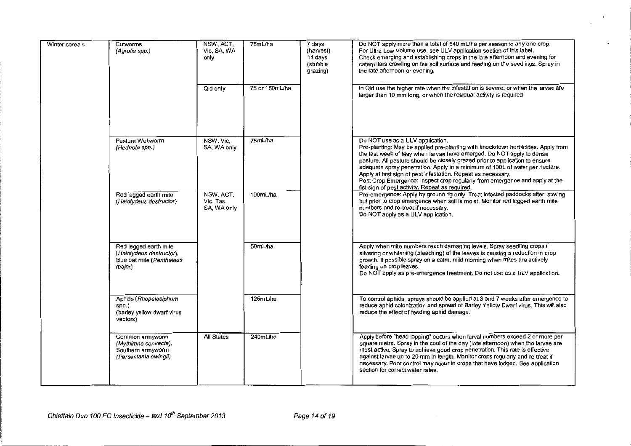| Winter cereals | Cutworms<br>(Agrotis spp.)                                                               | NSW. ACT.<br>Vic, SA, WA<br>only      | 75mL/ha        | 7 days<br>(harvest)<br>14 days<br>(stubble<br>grazing) | Do NOT apply more than a total of 540 mL/ha per season to any one crop.<br>For Ultra Low Volume use, see ULV application section of this label.<br>Check emerging and establishing crops in the late afternoon and evening for<br>caterpillars crawling on the soil surface and feeding on the seedlings. Spray in<br>the late afternoon or evening.                                                                                                                                                                                                           |
|----------------|------------------------------------------------------------------------------------------|---------------------------------------|----------------|--------------------------------------------------------|----------------------------------------------------------------------------------------------------------------------------------------------------------------------------------------------------------------------------------------------------------------------------------------------------------------------------------------------------------------------------------------------------------------------------------------------------------------------------------------------------------------------------------------------------------------|
|                |                                                                                          | Qid only                              | 75 or 150mL/ha |                                                        | In Qld use the higher rate when the infestation is severe, or when the larvae are<br>larger than 10 mm long, or when the residual activity is required.                                                                                                                                                                                                                                                                                                                                                                                                        |
|                | Pasture Webworm<br>(Hednota spp.)                                                        | NSW, Vic,<br>SA, WA only              | 75mL/ha        |                                                        | Do NOT use as a ULV application.<br>Pre-planting: May be applied pre-planting with knockdown herbicides. Apply from<br>the last week of May when larvae have emerged. Do NOT apply to dense<br>pasture. All pasture should be closely grazed prior to application to ensure<br>adequate spray penetration. Apply in a minimum of 100L of water per hectare.<br>Apply at first sign of pest infestation. Repeat as necessary.<br>Post Crop Emergence: Inspect crop regularly from emergence and apply at the<br>fist sign of pest activity. Repeat as required. |
|                | Red legged earth mite<br>(Halotydeus destructor)                                         | NSW, ACT,<br>Vic, Tas,<br>SA, WA only | 100mL/ha       |                                                        | Pre-emergence: Apply by ground rig only. Treat infested paddocks after sowing<br>but prior to crop emergence when soil is moist. Monitor red legged earth mite<br>numbers and re-treat if necessary.<br>Do NOT apply as a ULV application.                                                                                                                                                                                                                                                                                                                     |
|                | Red legged earth mite<br>(Halotydeus destructor),<br>blue oat mite (Penthaleus<br>major) |                                       | 50mL/ha        |                                                        | Apply when mite numbers reach damaging levels. Spray seedling crops if<br>silvering or whitening (bleaching) of the leaves is causing a reduction in crop<br>growth. If possible spray on a calm, mild morning when mites are actively<br>feeding on crop leaves.<br>Do NOT apply as pre-emergence treatment. Do not use as a ULV application.                                                                                                                                                                                                                 |
|                | Aphids (Rhopalosiphum<br>spp.)<br>(barley yellow dwarf virus<br>vectors)                 |                                       | 125mL/ha       |                                                        | To control aphids, sprays should be applied at 3 and 7 weeks after emergence to<br>reduce aphid colonization and spread of Barley Yellow Dwarf virus. This will also<br>reduce the effect of feeding aphid damage.                                                                                                                                                                                                                                                                                                                                             |
|                | Common armyworm<br>(Mythimna convecta),<br>Southern armyworm<br>(Persectania ewingii)    | <b>All States</b>                     | 240mL/ha       |                                                        | Apply before "head lopping" occurs when larval numbers exceed 2 or more per<br>square metre. Spray in the cool of the day (late afternoon) when the laryae are<br>most active. Spray to achieve good crop penetration. This rate is effective<br>against larvae up to 20 mm in length. Monitor crops regularly and re-treat if<br>necessary. Poor control may occur in crops that have lodged. See application<br>section for correct water rates.                                                                                                             |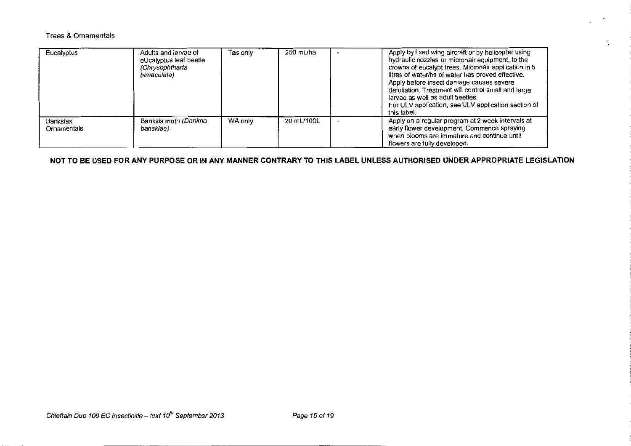# Trees & Ornamentals

| Eucalyptus              | Adults and larvae of<br>eUcalyptus leaf beetle<br>(Chrysophtharta<br>bimaculata) | Tas only | 250 mL/ha  | Apply by fixed wing aircraft or by helicopter using<br>hydraulic nozzles or micronair equipment, to the<br>crowns of eucalypt trees. Micronair application in 5<br>litres of water/ha of water has proved effective.<br>Apply before insect damage causes severe<br>defoliation. Treatment will control small and large<br>larvae as well as adult beetles.<br>For ULV application, see ULV application section of<br>this label. |
|-------------------------|----------------------------------------------------------------------------------|----------|------------|-----------------------------------------------------------------------------------------------------------------------------------------------------------------------------------------------------------------------------------------------------------------------------------------------------------------------------------------------------------------------------------------------------------------------------------|
| Banksias<br>Ornamentals | Banksia moth (Danima<br>banskiae)                                                | WA only  | 20 mL/100L | Apply on a regular program at 2 week intervals at<br>early flower development. Commence spraying<br>when blooms are immature and continue until<br>flowers are fully developed.                                                                                                                                                                                                                                                   |

**NOT TO BE USED FOR ANY PURPOSE OR IN ANY MANNER CONTRARY TO THIS LABEL UNLESS AUTHORISED UNDER APPROPRIATE LEGISLATION**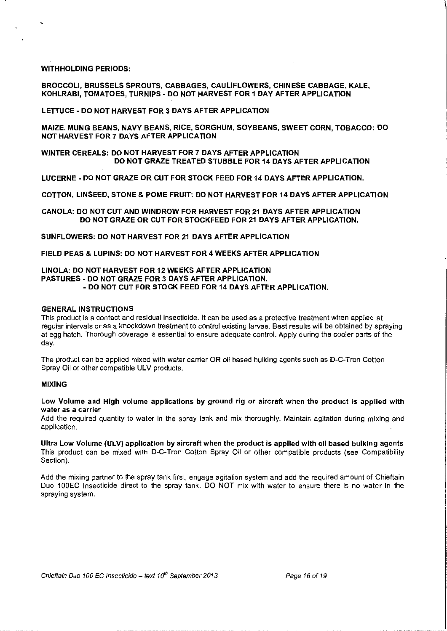#### WITHHOLDING PERIODS:

# BROCCOLI, BRUSSELS SPROUTS, CABBAGES, CAULIFLOWERS, CHINESE CABBAGE, KALE, KOHLRABI, TOMATOES, TURNIPS- DO NOT HARVEST FOR 1 DAY AFTER APPLICATION

#### LETTUCE- DO NOT HARVEST FOR 3 DAYS AFTER APPLICATION

MAIZE, MUNG BEANS, NAVY BEANS, RICE, SORGHUM, SOYBEANS, SWEET CORN, TOBACCO: DO NOT HARVEST FOR 7 DAYS AFTER APPLICATION

# WINTER CEREALS: DO NOT HARVEST FOR 7 DAYS AFTER APPLICATION DO NOT GRAZE TREATED STUBBLE FOR 14 DAYS AFTER APPLICATION

LUCERNE- DO NOT GRAZE OR CUT FOR STOCK FEED FOR 14 DAYS AFTER APPLICATION.

COTTON, LINSEED, STONE & POME FRUIT: DO NOT HARVEST FOR 14 DAYS AFTER APPLICATION

CANOLA: DO NOT CUT AND WINDROW FOR HARVEST FOR 21 DAYS AFTER APPLICATION DO NOT GRAZE OR CUT FOR STOCKFEED FOR 21 DAYS AFTER APPLICATION.

SUNFLOWERS: DO NOT HARVEST FOR 21 DAYS AFTER APPLICATION

FIELD PEAS & LUPINS: DO NOT HARVEST FOR 4 WEEKS AFTER APPLICATION

# LINOLA: DO NOT HARVEST FOR 12 WEEKS AFTER APPLICATION PASTURES- DO NOT GRAZE FOR 3 DAYS AFTER APPLICATION. -DO NOT CUT FOR STOCK FEED FOR 14 DAYS AFTER APPLICATION.

# GENERAL INSTRUCTIONS

This product is a contact and residual insecticide. It can be used as a protective treatment when applied at regular intervals or as a knockdown treatment to control existing larvae. Best results will be obtained by spraying at egg hatch. Thorough coverage is essential to ensure adequate control. Apply during the cooler parts of the day.

The product can be applied mixed with water carrier OR oil based bulking agents such as D-C-Tron Cotton Spray Oil or other compatible ULV products.

#### MIXING

Low Volume and High volume applications by ground rig or aircraft when the product is applied with **water as a carrier** 

Add the required quantity to water in the spray tank and mix thoroughly. Maintain agitation during mixing and application.

Ultra Low Volume (ULV) application by aircraft when the product is applied with oil based bulking agents This product can be mixed with D-C-Tron Cotton Spray Oil or other compatible products (see Compatibility Section).

Add the mixing partner to the spray tank first. engage agitation system and add the required amount of Chieftain Duo 100EC Insecticide direct to the spray tank. DO NOT mix with water to ensure there is no water in the spraying system.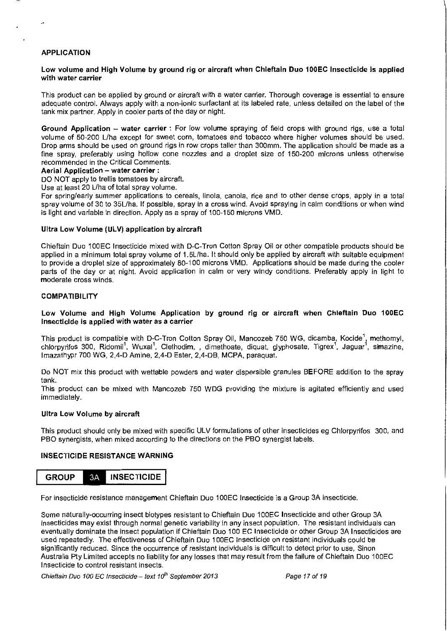# **APPLICATION**

# **Low volume and High Volume by ground rig or aircraft when Chieftain Duo 100EC Insecticide is applied with water carrier**

This product can be applied by ground or aircraft with a water carrier. Thorough coverage is essential to ensure adequate control. Always apply with a non-ionic surfactant at its labeled rate, unless detailed on the label of the tank mix partner. Apply in cooler parts of the day or night.

**Ground Application - water carrier** : For low volume spraying of field crops with ground rigs, use a total volume of 50-200 Llha except for sweet corn, tomatoes and tobacco where higher volumes should be used. Drop arms should be used on ground rigs in row crops taller than 300mm. The application should be made as a fine spray, preferably using hollow cone nozzles and a droplet size of 150-200 microns unless otherwise recommended in the Critical Comments.

#### **Aerial Application- water carrier** :

DO NOT apply to trellis tomatoes by aircraft.

Use at least 20 L/ha of total spray volume.

For spring/early summer applications to cereals, linola, canola, rice and to other dense crops, apply in a total spray volume of 30 to 35L/ha. If possible, spray in a cross wind. Avoid spraying in calm conditions or when wind is light and variable in direction. Apply as a spray of 100-150 microns VMD.

#### **Ultra Low Volume (ULV) application by aircraft**

Chieflain Duo 100EC Insecticide mixed with D-C-Tron Cotton Spray Oil or other compatible products should be applied in a minimum total spray volume of 1.5L/ha. It should only be applied by aircraft with suitable equipment to provide a droplet size of approximately 80-100 microns VMD. Applications should be made during the cooler parts of the day or at night. Avoid application in calm or very windy conditions. Preferably apply in light to moderate cross winds.

#### **COMPATIBILITY**

# **Low Volume and High Volume Application by ground rig or aircraft when Chieftain Duo 100EC Insecticide is applied with water as a carrier**

This product is compatible with D-C-Tron Cotton Spray Oil, Mancozeb 750 WG, dicamba, Kocide<sup>1</sup>, methomyl, chlorpyrifos 300, Ridomil<sup>1</sup>, Wuxal<sup>1</sup>, Clethodim, , dimethoate, diquat, glyphosate, Tigrex<sup>1</sup>, Jaguar<sup>1</sup>, simazine, lmazathypr 700 WG, 2,4-D Amine, 2,4-D Ester, 2,4-DB, MCPA, paraquat.

Do NOT mix this product with wettable powders and water dispersible granules **BEFORE** addition to the spray tank.

This product can be mixed with Mancozeb 750 WDG providing the mixture is agitated efficiently and used immediately.

#### **Ultra Low Volume by aircraft**

This product should only be mixed with specific ULV formulations of other insecticides eg Chlorpyrifos 300, and PBO synergists, when mixed according to the directions on the PBO synergist labels.

#### **INSECTICIDE RESISTANCE WARNING**



For insecticide resistance management Chieflain Duo **1** OOEC Insecticide is a Group 3A insecticide.

Some naturally-occurring insect biotypes resistant to Chieftain Duo 100EC Insecticide and other Group 3A insecticides may exist through normal genetic variability in any insect population. The resistant individuals can eventually dominate the insect population if Chieftain Duo 100 EC Insecticide or other Group 3A Insecticides are used repeatedly. The effectiveness of Chieflain Duo **1** OOEC Insecticide on resistant individuals could be significantly reduced. Since the occurrence of resistant individuals is difficult to detect prior to use, Sinon Australia Pty Limited accepts no liability for any losses that may result from the failure of Chieftain Duo 100EC Insecticide to control resistant insects.

Chieftain Duo 100 EC Insecticide- text *1rf'* September 2013 Page 17 of 19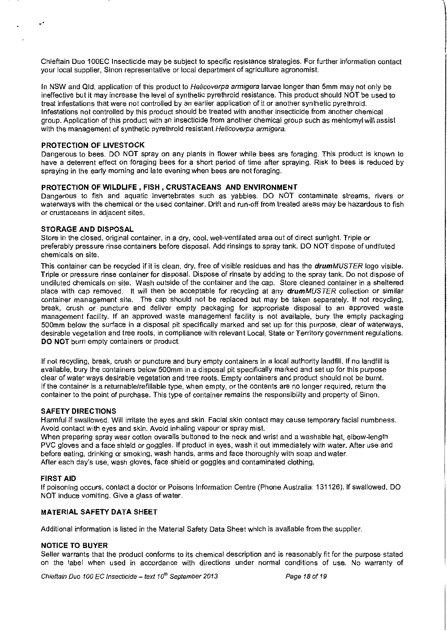Chieftain Duo 1 OOEC Insecticide may be subject to specific resistance strategies. For further information contact your local supplier, Sinon representative or local department of agriculture agronomist.

In NSW and Qld, application of this product to Helicoverpa armigera larvae longer than 5mm may not only be ineffective but it may increase the level of synthetic pyrethroid resistance. This product should NOT be used to treat infestations that were not controlled by an earlier application of it or another synthetic pyrethroid. Infestations not controlled by this product should be treated with another insecticide from another chemical group. Application of this product with an insecticide from another chemical group such as mehtomyl will assist with the management of synthetic pyrethroid resistant Helicoverpa armigera.

# **PROTECTION OF LIVESTOCK**

.·

Dangerous to bees. DO NOT spray on any plants in flower while bees are foraging. This product is known to have a deterrent effect on foraging bees for a short period of time after spraying. Risk to bees is reduced by spraying in the early morning and late evening when bees are not foraging.

# **PROTECTION OF WILDLIFE, FISH, CRUSTACEANS AND ENVIRONMENT**

Dangerous to fish and aquatic invertebrates such as yabbies. DO NOT contaminate streams, rivers or waterways with the chemical or the used container. Drift and run-off from treated areas may be hazardous to fish **or crustaceans in adjacent sites.** 

#### **STORAGE AND DISPOSAL**

Store in the closed, original container, in a dry, cool, well-ventilated area out of direct sunlight. Triple or preferably pressure rinse containers before disposal. Add rinsings to spray tank. DO NOT dispose of undiluted chemicals on site.

This container can be recycled if it is clean, dry, free of visible residues and has the *drumMUSTER* logo visible. Triple or pressure rinse container for disposal. Dispose of rinsate by adding to the spray tank. Do not dispose of undiluted chemicals on site. Wash outside of the container and the cap. Store cleaned container in a sheltered place with cap removed. It will then be acceptable for recycling at any drumMUSTER collection or similar container management site. The cap should not be replaced but may be taken separately. If not recycling, break, crush or puncture and deliver empty packaging for appropriate disposal to an approved waste management facility. If an approved waste management facility is not available, bury the empty packaging 500mm below the surface in a disposal pit specifically marked and set up for this purpose, clear of waterways, desirable vegetation and tree roots, in compliance with relevant Local, State or Territory government regulations. **DO NOT** burn empty containers or product.

If not recycling, break, crush or puncture and bury empty containers in a local authority landfill. If no landfill is available, bury the containers below 500mm in a disposal pit specifically marked and set up for this purpose clear of water ways desirable vegetation and tree roots. Empty containers and product should not be burnt. If the container is a returnable/refillable type, when empty, or the contents are no longer required, return the container to the point of purchase. This type of container remains the responsibility and property of Sinon.

#### **SAFETY DIRECTIONS**

Harmful if swallowed. Will irritate the eyes and skin. Facial skin contact may cause temporary facial numbness. Avoid contact with eyes and skin. Avoid inhaling vapour or spray mist.

When preparing spray wear cotton overalls buttoned to the neck and wrist and a washable hat, elbow-length PVC gloves and a face shield or goggles. If product in eyes, wash it out immediately with water. After use and before eating, drinking or smoking, wash hands, arms and face thoroughly with soap and water. After each day's use, wash gloves, face shield or goggles and contaminated clothing.

#### **FIRST AID**

If poisoning occurs, contact a doctor or Poisons Information Centre (Phone Australia: 131126). If swallowed, DO NOT induce vomiting. Give a glass of water.

# **MATERIAL SAFETY DATA SHEET**

Additional information is listed in the Material Safety Data Sheet which is available from the supplier.

#### **NOTICE TO BUYER**

Seller warrants that the product conforms to its chemical description and is reasonably fit for the purpose stated on the label when used in accordance with directions under normal conditions of use. No warranty of

Chieftain Duo 100 EC Insecticide- text 1 *o'"* September 2013 Page 18 of 19